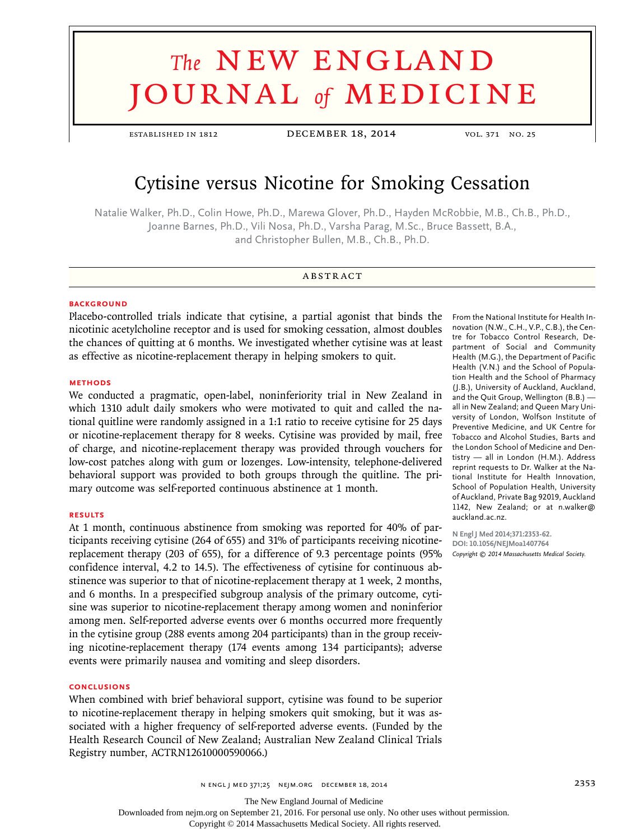# **The NEW ENGLAND** journal *of* medicine

established in 1812 December 18, 2014 vol. 371 no. 25

# Cytisine versus Nicotine for Smoking Cessation

Natalie Walker, Ph.D., Colin Howe, Ph.D., Marewa Glover, Ph.D., Hayden McRobbie, M.B., Ch.B., Ph.D., Joanne Barnes, Ph.D., Vili Nosa, Ph.D., Varsha Parag, M.Sc., Bruce Bassett, B.A., and Christopher Bullen, M.B., Ch.B., Ph.D.

# **ABSTRACT**

# **BACKGROUND**

Placebo-controlled trials indicate that cytisine, a partial agonist that binds the nicotinic acetylcholine receptor and is used for smoking cessation, almost doubles the chances of quitting at 6 months. We investigated whether cytisine was at least as effective as nicotine-replacement therapy in helping smokers to quit.

#### **METHODS**

We conducted a pragmatic, open-label, noninferiority trial in New Zealand in which 1310 adult daily smokers who were motivated to quit and called the national quitline were randomly assigned in a 1:1 ratio to receive cytisine for 25 days or nicotine-replacement therapy for 8 weeks. Cytisine was provided by mail, free of charge, and nicotine-replacement therapy was provided through vouchers for low-cost patches along with gum or lozenges. Low-intensity, telephone-delivered behavioral support was provided to both groups through the quitline. The primary outcome was self-reported continuous abstinence at 1 month.

#### **RESULTS**

At 1 month, continuous abstinence from smoking was reported for 40% of participants receiving cytisine (264 of 655) and 31% of participants receiving nicotinereplacement therapy (203 of 655), for a difference of 9.3 percentage points (95% confidence interval, 4.2 to 14.5). The effectiveness of cytisine for continuous abstinence was superior to that of nicotine-replacement therapy at 1 week, 2 months, and 6 months. In a prespecified subgroup analysis of the primary outcome, cytisine was superior to nicotine-replacement therapy among women and noninferior among men. Self-reported adverse events over 6 months occurred more frequently in the cytisine group (288 events among 204 participants) than in the group receiving nicotine-replacement therapy (174 events among 134 participants); adverse events were primarily nausea and vomiting and sleep disorders.

## **CONCLUSIONS**

When combined with brief behavioral support, cytisine was found to be superior to nicotine-replacement therapy in helping smokers quit smoking, but it was associated with a higher frequency of self-reported adverse events. (Funded by the Health Research Council of New Zealand; Australian New Zealand Clinical Trials Registry number, ACTRN12610000590066.)

From the National Institute for Health Innovation (N.W., C.H., V.P., C.B.), the Centre for Tobacco Control Research, Department of Social and Community Health (M.G.), the Department of Pacific Health (V.N.) and the School of Population Health and the School of Pharmacy (J.B.), University of Auckland, Auckland, and the Quit Group, Wellington (B.B.) all in New Zealand; and Queen Mary University of London, Wolfson Institute of Preventive Medicine, and UK Centre for Tobacco and Alcohol Studies, Barts and the London School of Medicine and Dentistry — all in London (H.M.). Address reprint requests to Dr. Walker at the National Institute for Health Innovation, School of Population Health, University of Auckland, Private Bag 92019, Auckland 1142, New Zealand; or at n.walker@ auckland.ac.nz.

**N Engl J Med 2014;371:2353-62. DOI: 10.1056/NEJMoa1407764** *Copyright © 2014 Massachusetts Medical Society.*

n engl j med 371;25 nejm.org December 18, 2014 2353

The New England Journal of Medicine

Downloaded from nejm.org on September 21, 2016. For personal use only. No other uses without permission.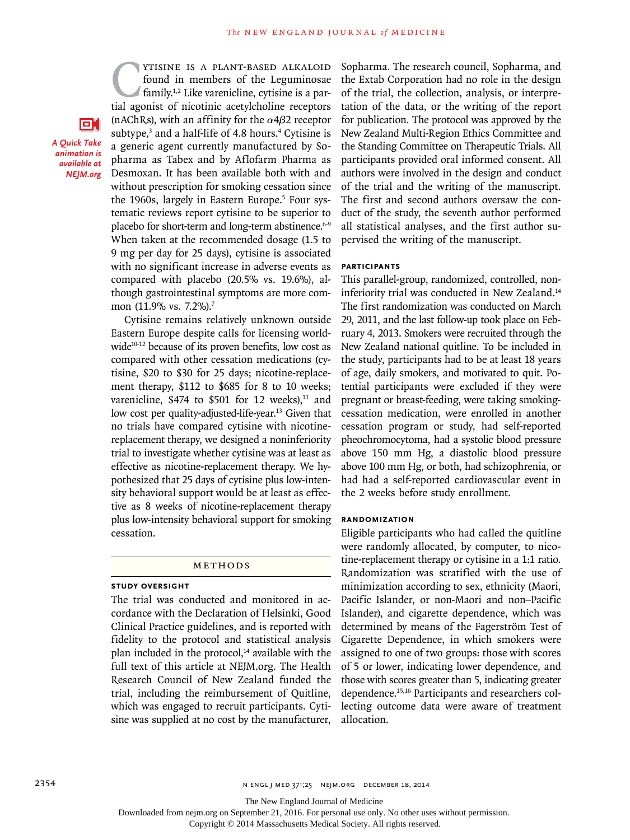**CYTISINE IS A PLANT-BASED ALKALOID**<br>found in members of the Leguminosae<br>family.<sup>1,2</sup> Like varenicline, cytisine is a par-<br>tial agonist of nicotinic acetylcholine receptors found in members of the Leguminosae family.1,2 Like varenicline, cytisine is a partial agonist of nicotinic acetylcholine receptors (nAChRs), with an affinity for the  $\alpha$ 4 $\beta$ 2 receptor subtype,<sup>3</sup> and a half-life of 4.8 hours.<sup>4</sup> Cytisine is a generic agent currently manufactured by Sopharma as Tabex and by Aflofarm Pharma as Desmoxan. It has been available both with and without prescription for smoking cessation since the 1960s, largely in Eastern Europe.<sup>5</sup> Four systematic reviews report cytisine to be superior to placebo for short-term and long-term abstinence.<sup>6-9</sup> When taken at the recommended dosage (1.5 to 9 mg per day for 25 days), cytisine is associated with no significant increase in adverse events as compared with placebo (20.5% vs. 19.6%), although gastrointestinal symptoms are more common (11.9% vs. 7.2%).<sup>7</sup>

*A Quick Take animation is available at NEJM.org*

оr

Cytisine remains relatively unknown outside Eastern Europe despite calls for licensing worldwide<sup>10-12</sup> because of its proven benefits, low cost as compared with other cessation medications (cytisine, \$20 to \$30 for 25 days; nicotine-replacement therapy, \$112 to \$685 for 8 to 10 weeks; varenicline,  $$474$  to  $$501$  for 12 weeks),<sup>11</sup> and low cost per quality-adjusted-life-year.<sup>13</sup> Given that no trials have compared cytisine with nicotinereplacement therapy, we designed a noninferiority trial to investigate whether cytisine was at least as effective as nicotine-replacement therapy. We hypothesized that 25 days of cytisine plus low-intensity behavioral support would be at least as effective as 8 weeks of nicotine-replacement therapy plus low-intensity behavioral support for smoking cessation.

#### Methods

# **Study Oversight**

The trial was conducted and monitored in accordance with the Declaration of Helsinki, Good Clinical Practice guidelines, and is reported with fidelity to the protocol and statistical analysis plan included in the protocol, $14$  available with the full text of this article at NEJM.org. The Health Research Council of New Zealand funded the trial, including the reimbursement of Quitline, which was engaged to recruit participants. Cytisine was supplied at no cost by the manufacturer, Sopharma. The research council, Sopharma, and the Extab Corporation had no role in the design of the trial, the collection, analysis, or interpretation of the data, or the writing of the report for publication. The protocol was approved by the New Zealand Multi-Region Ethics Committee and the Standing Committee on Therapeutic Trials. All participants provided oral informed consent. All authors were involved in the design and conduct of the trial and the writing of the manuscript. The first and second authors oversaw the conduct of the study, the seventh author performed all statistical analyses, and the first author supervised the writing of the manuscript.

## **Participants**

This parallel-group, randomized, controlled, noninferiority trial was conducted in New Zealand.<sup>14</sup> The first randomization was conducted on March 29, 2011, and the last follow-up took place on February 4, 2013. Smokers were recruited through the New Zealand national quitline. To be included in the study, participants had to be at least 18 years of age, daily smokers, and motivated to quit. Potential participants were excluded if they were pregnant or breast-feeding, were taking smokingcessation medication, were enrolled in another cessation program or study, had self-reported pheochromocytoma, had a systolic blood pressure above 150 mm Hg, a diastolic blood pressure above 100 mm Hg, or both, had schizophrenia, or had had a self-reported cardiovascular event in the 2 weeks before study enrollment.

#### **Randomization**

Eligible participants who had called the quitline were randomly allocated, by computer, to nicotine-replacement therapy or cytisine in a 1:1 ratio. Randomization was stratified with the use of minimization according to sex, ethnicity (Maori, Pacific Islander, or non-Maori and non–Pacific Islander), and cigarette dependence, which was determined by means of the Fagerström Test of Cigarette Dependence, in which smokers were assigned to one of two groups: those with scores of 5 or lower, indicating lower dependence, and those with scores greater than 5, indicating greater dependence.15,16 Participants and researchers collecting outcome data were aware of treatment allocation.

The New England Journal of Medicine

Downloaded from nejm.org on September 21, 2016. For personal use only. No other uses without permission.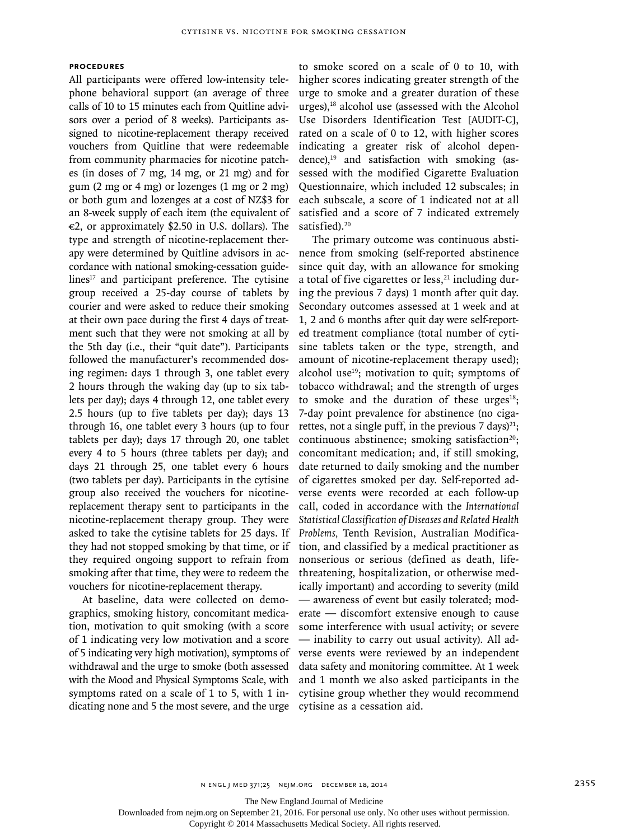# **Procedures**

All participants were offered low-intensity telephone behavioral support (an average of three calls of 10 to 15 minutes each from Quitline advisors over a period of 8 weeks). Participants assigned to nicotine-replacement therapy received vouchers from Quitline that were redeemable from community pharmacies for nicotine patches (in doses of 7 mg, 14 mg, or 21 mg) and for gum (2 mg or 4 mg) or lozenges (1 mg or 2 mg) or both gum and lozenges at a cost of NZ\$3 for an 8-week supply of each item (the equivalent of  $\epsilon$ 2, or approximately \$2.50 in U.S. dollars). The type and strength of nicotine-replacement therapy were determined by Quitline advisors in accordance with national smoking-cessation guidelines $17$  and participant preference. The cytisine group received a 25-day course of tablets by courier and were asked to reduce their smoking at their own pace during the first 4 days of treatment such that they were not smoking at all by the 5th day (i.e., their "quit date"). Participants followed the manufacturer's recommended dosing regimen: days 1 through 3, one tablet every 2 hours through the waking day (up to six tablets per day); days 4 through 12, one tablet every 2.5 hours (up to five tablets per day); days 13 through 16, one tablet every 3 hours (up to four tablets per day); days 17 through 20, one tablet every 4 to 5 hours (three tablets per day); and days 21 through 25, one tablet every 6 hours (two tablets per day). Participants in the cytisine group also received the vouchers for nicotinereplacement therapy sent to participants in the nicotine-replacement therapy group. They were asked to take the cytisine tablets for 25 days. If they had not stopped smoking by that time, or if they required ongoing support to refrain from smoking after that time, they were to redeem the vouchers for nicotine-replacement therapy.

At baseline, data were collected on demographics, smoking history, concomitant medication, motivation to quit smoking (with a score of 1 indicating very low motivation and a score of 5 indicating very high motivation), symptoms of withdrawal and the urge to smoke (both assessed with the Mood and Physical Symptoms Scale, with symptoms rated on a scale of 1 to 5, with 1 indicating none and 5 the most severe, and the urge to smoke scored on a scale of 0 to 10, with higher scores indicating greater strength of the urge to smoke and a greater duration of these urges), $18$  alcohol use (assessed with the Alcohol Use Disorders Identification Test [AUDIT-C], rated on a scale of 0 to 12, with higher scores indicating a greater risk of alcohol dependence), $19$  and satisfaction with smoking (assessed with the modified Cigarette Evaluation Questionnaire, which included 12 subscales; in each subscale, a score of 1 indicated not at all satisfied and a score of 7 indicated extremely satisfied).<sup>20</sup>

The primary outcome was continuous abstinence from smoking (self-reported abstinence since quit day, with an allowance for smoking a total of five cigarettes or less, $21$  including during the previous 7 days) 1 month after quit day. Secondary outcomes assessed at 1 week and at 1, 2 and 6 months after quit day were self-reported treatment compliance (total number of cytisine tablets taken or the type, strength, and amount of nicotine-replacement therapy used); alcohol use<sup>19</sup>; motivation to quit; symptoms of tobacco withdrawal; and the strength of urges to smoke and the duration of these urges $18$ ; 7-day point prevalence for abstinence (no cigarettes, not a single puff, in the previous 7 days)<sup>21</sup>; continuous abstinence; smoking satisfaction $20$ ; concomitant medication; and, if still smoking, date returned to daily smoking and the number of cigarettes smoked per day. Self-reported adverse events were recorded at each follow-up call, coded in accordance with the *International Statistical Classification of Diseases and Related Health Problems,* Tenth Revision, Australian Modification, and classified by a medical practitioner as nonserious or serious (defined as death, lifethreatening, hospitalization, or otherwise medically important) and according to severity (mild — awareness of event but easily tolerated; moderate — discomfort extensive enough to cause some interference with usual activity; or severe — inability to carry out usual activity). All adverse events were reviewed by an independent data safety and monitoring committee. At 1 week and 1 month we also asked participants in the cytisine group whether they would recommend cytisine as a cessation aid.

The New England Journal of Medicine

Downloaded from nejm.org on September 21, 2016. For personal use only. No other uses without permission.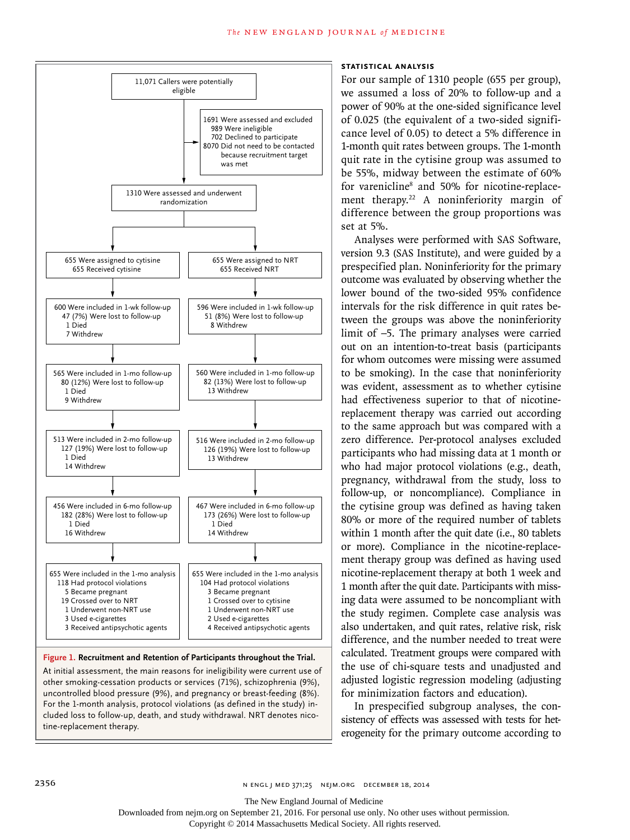

#### **Figure 1. Recruitment and Retention of Participants throughout the Trial.**

At initial assessment, the main reasons for ineligibility were current use of other smoking-cessation products or services (71%), schizophrenia (9%), uncontrolled blood pressure (9%), and pregnancy or breast-feeding (8%). For the 1-month analysis, protocol violations (as defined in the study) included loss to follow-up, death, and study withdrawal. NRT denotes nicotine-replacement therapy.

# **Statistical Analysis**

For our sample of 1310 people (655 per group), we assumed a loss of 20% to follow-up and a power of 90% at the one-sided significance level of 0.025 (the equivalent of a two-sided significance level of 0.05) to detect a 5% difference in 1-month quit rates between groups. The 1-month quit rate in the cytisine group was assumed to be 55%, midway between the estimate of 60% for varenicline<sup>8</sup> and 50% for nicotine-replacement therapy.<sup>22</sup> A noninferiority margin of difference between the group proportions was set at 5%.

Analyses were performed with SAS Software, version 9.3 (SAS Institute), and were guided by a prespecified plan. Noninferiority for the primary outcome was evaluated by observing whether the lower bound of the two-sided 95% confidence intervals for the risk difference in quit rates between the groups was above the noninferiority limit of −5. The primary analyses were carried out on an intention-to-treat basis (participants for whom outcomes were missing were assumed to be smoking). In the case that noninferiority was evident, assessment as to whether cytisine had effectiveness superior to that of nicotinereplacement therapy was carried out according to the same approach but was compared with a zero difference. Per-protocol analyses excluded participants who had missing data at 1 month or who had major protocol violations (e.g., death, pregnancy, withdrawal from the study, loss to follow-up, or noncompliance). Compliance in the cytisine group was defined as having taken 80% or more of the required number of tablets within 1 month after the quit date (i.e., 80 tablets or more). Compliance in the nicotine-replacement therapy group was defined as having used nicotine-replacement therapy at both 1 week and 1 month after the quit date. Participants with missing data were assumed to be noncompliant with the study regimen. Complete case analysis was also undertaken, and quit rates, relative risk, risk difference, and the number needed to treat were calculated. Treatment groups were compared with the use of chi-square tests and unadjusted and adjusted logistic regression modeling (adjusting for minimization factors and education).

In prespecified subgroup analyses, the consistency of effects was assessed with tests for heterogeneity for the primary outcome according to

Downloaded from nejm.org on September 21, 2016. For personal use only. No other uses without permission.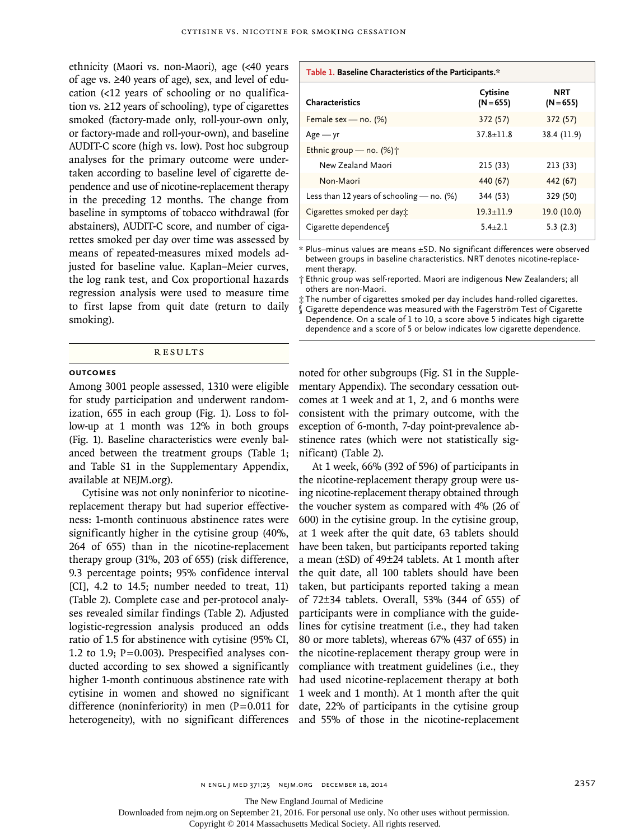ethnicity (Maori vs. non-Maori), age (<40 years of age vs. ≥40 years of age), sex, and level of education (<12 years of schooling or no qualification vs. ≥12 years of schooling), type of cigarettes smoked (factory-made only, roll-your-own only, or factory-made and roll-your-own), and baseline AUDIT-C score (high vs. low). Post hoc subgroup analyses for the primary outcome were undertaken according to baseline level of cigarette dependence and use of nicotine-replacement therapy in the preceding 12 months. The change from baseline in symptoms of tobacco withdrawal (for abstainers), AUDIT-C score, and number of cigarettes smoked per day over time was assessed by means of repeated-measures mixed models adjusted for baseline value. Kaplan–Meier curves, the log rank test, and Cox proportional hazards regression analysis were used to measure time to first lapse from quit date (return to daily smoking).

# Results

# **Outcomes**

Among 3001 people assessed, 1310 were eligible for study participation and underwent randomization, 655 in each group (Fig. 1). Loss to follow-up at 1 month was 12% in both groups (Fig. 1). Baseline characteristics were evenly balanced between the treatment groups (Table 1; and Table S1 in the Supplementary Appendix, available at NEJM.org).

Cytisine was not only noninferior to nicotinereplacement therapy but had superior effectiveness: 1-month continuous abstinence rates were significantly higher in the cytisine group (40%, 264 of 655) than in the nicotine-replacement therapy group (31%, 203 of 655) (risk difference, 9.3 percentage points; 95% confidence interval [CI], 4.2 to 14.5; number needed to treat, 11) (Table 2). Complete case and per-protocol analyses revealed similar findings (Table 2). Adjusted logistic-regression analysis produced an odds ratio of 1.5 for abstinence with cytisine (95% CI, 1.2 to 1.9; P=0.003). Prespecified analyses conducted according to sex showed a significantly higher 1-month continuous abstinence rate with cytisine in women and showed no significant difference (noninferiority) in men  $(P=0.011$  for heterogeneity), with no significant differences

#### **Table 1. Baseline Characteristics of the Participants.\***

| Characteristics                             | Cytisine<br>$(N = 655)$ | <b>NRT</b><br>$(N = 655)$ |
|---------------------------------------------|-------------------------|---------------------------|
| Female sex - no. $(%)$                      | 372 (57)                | 372 (57)                  |
| $Age - yr$                                  | $37.8 + 11.8$           | 38.4 (11.9)               |
| Ethnic group – no. $(\%)\uparrow$           |                         |                           |
| New Zealand Maori                           | 215 (33)                | 213 (33)                  |
| Non-Maori                                   | 440 (67)                | 442 (67)                  |
| Less than 12 years of schooling $-$ no. (%) | 344 (53)                | 329 (50)                  |
| Cigarettes smoked per day:                  | $19.3 \pm 11.9$         | 19.0 (10.0)               |
| Cigarette dependence                        | $5.4 + 2.1$             | 5.3(2.3)                  |

\* Plus–minus values are means ±SD. No significant differences were observed between groups in baseline characteristics. NRT denotes nicotine-replacement therapy.

† Ethnic group was self-reported. Maori are indigenous New Zealanders; all others are non-Maori.

‡ The number of cigarettes smoked per day includes hand-rolled cigarettes. § Cigarette dependence was measured with the Fagerström Test of Cigarette

Dependence. On a scale of 1 to 10, a score above 5 indicates high cigarette dependence and a score of 5 or below indicates low cigarette dependence.

noted for other subgroups (Fig. S1 in the Supplementary Appendix). The secondary cessation outcomes at 1 week and at 1, 2, and 6 months were consistent with the primary outcome, with the exception of 6-month, 7-day point-prevalence abstinence rates (which were not statistically significant) (Table 2).

At 1 week, 66% (392 of 596) of participants in the nicotine-replacement therapy group were using nicotine-replacement therapy obtained through the voucher system as compared with 4% (26 of 600) in the cytisine group. In the cytisine group, at 1 week after the quit date, 63 tablets should have been taken, but participants reported taking a mean (±SD) of 49±24 tablets. At 1 month after the quit date, all 100 tablets should have been taken, but participants reported taking a mean of 72±34 tablets. Overall, 53% (344 of 655) of participants were in compliance with the guidelines for cytisine treatment (i.e., they had taken 80 or more tablets), whereas 67% (437 of 655) in the nicotine-replacement therapy group were in compliance with treatment guidelines (i.e., they had used nicotine-replacement therapy at both 1 week and 1 month). At 1 month after the quit date, 22% of participants in the cytisine group and 55% of those in the nicotine-replacement

The New England Journal of Medicine

Downloaded from nejm.org on September 21, 2016. For personal use only. No other uses without permission.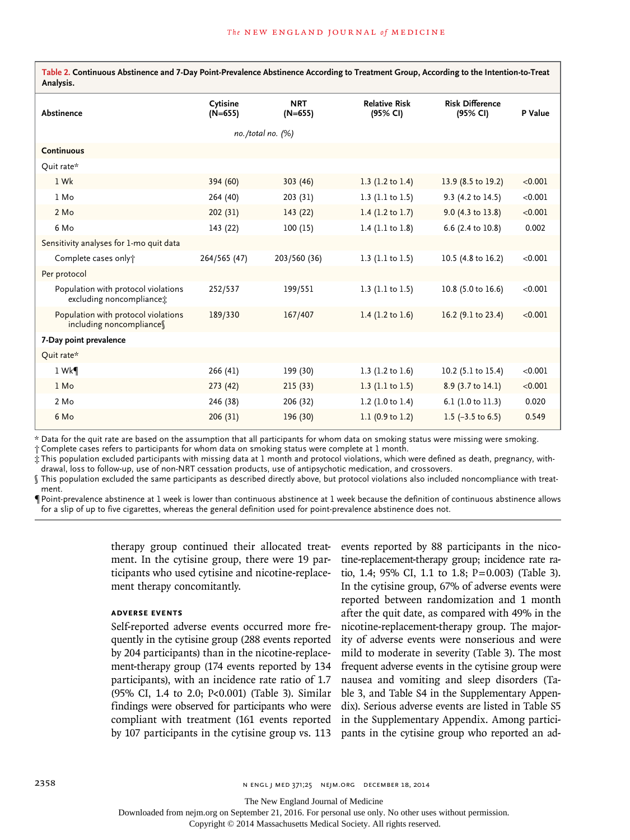**Table 2. Continuous Abstinence and 7-Day Point-Prevalence Abstinence According to Treatment Group, According to the Intention-to-Treat Analysis.**

| Abstinence                                                      | Cytisine<br>$(N=655)$ | <b>NRT</b><br>$(N=655)$ | <b>Relative Risk</b><br>(95% CI) | <b>Risk Difference</b><br>(95% CI) | P Value |  |  |
|-----------------------------------------------------------------|-----------------------|-------------------------|----------------------------------|------------------------------------|---------|--|--|
| no./total no. (%)                                               |                       |                         |                                  |                                    |         |  |  |
| <b>Continuous</b>                                               |                       |                         |                                  |                                    |         |  |  |
| Quit rate*                                                      |                       |                         |                                  |                                    |         |  |  |
| 1 Wk                                                            | 394 (60)              | 303 (46)                | 1.3 $(1.2 \text{ to } 1.4)$      | 13.9 (8.5 to 19.2)                 | < 0.001 |  |  |
| $1$ Mo                                                          | 264 (40)              | 203 (31)                | 1.3 $(1.1 to 1.5)$               | 9.3 (4.2 to 14.5)                  | < 0.001 |  |  |
| 2 Mo                                                            | 202(31)               | 143(22)                 | 1.4 $(1.2 \text{ to } 1.7)$      | 9.0 (4.3 to 13.8)                  | < 0.001 |  |  |
| 6 Mo                                                            | 143 (22)              | 100(15)                 | 1.4 $(1.1 to 1.8)$               | 6.6 (2.4 to 10.8)                  | 0.002   |  |  |
| Sensitivity analyses for 1-mo quit data                         |                       |                         |                                  |                                    |         |  |  |
| Complete cases only†                                            | 264/565 (47)          | 203/560 (36)            | 1.3 $(1.1 to 1.5)$               | 10.5 (4.8 to 16.2)                 | < 0.001 |  |  |
| Per protocol                                                    |                       |                         |                                  |                                    |         |  |  |
| Population with protocol violations<br>excluding noncompliance: | 252/537               | 199/551                 | 1.3 $(1.1 to 1.5)$               | 10.8 (5.0 to 16.6)                 | < 0.001 |  |  |
| Population with protocol violations<br>including noncompliance  | 189/330               | 167/407                 | 1.4 $(1.2 \text{ to } 1.6)$      | 16.2 (9.1 to 23.4)                 | < 0.001 |  |  |
| 7-Day point prevalence                                          |                       |                         |                                  |                                    |         |  |  |
| Quit rate*                                                      |                       |                         |                                  |                                    |         |  |  |
| 1 Wk                                                            | 266(41)               | 199 (30)                | 1.3 $(1.2 \text{ to } 1.6)$      | 10.2 (5.1 to 15.4)                 | < 0.001 |  |  |
| 1 Mo                                                            | 273(42)               | 215(33)                 | 1.3 $(1.1 to 1.5)$               | 8.9 (3.7 to 14.1)                  | < 0.001 |  |  |
| 2 Mo                                                            | 246 (38)              | 206 (32)                | 1.2 $(1.0 to 1.4)$               | 6.1 (1.0 to 11.3)                  | 0.020   |  |  |
| 6 Mo                                                            | 206(31)               | 196 (30)                | 1.1 $(0.9 \text{ to } 1.2)$      | 1.5 $(-3.5 \text{ to } 6.5)$       | 0.549   |  |  |

\* Data for the quit rate are based on the assumption that all participants for whom data on smoking status were missing were smoking.

† Complete cases refers to participants for whom data on smoking status were complete at 1 month.

‡ This population excluded participants with missing data at 1 month and protocol violations, which were defined as death, pregnancy, withdrawal, loss to follow-up, use of non-NRT cessation products, use of antipsychotic medication, and crossovers.

§ This population excluded the same participants as described directly above, but protocol violations also included noncompliance with treatment.

¶ Point-prevalence abstinence at 1 week is lower than continuous abstinence at 1 week because the definition of continuous abstinence allows for a slip of up to five cigarettes, whereas the general definition used for point-prevalence abstinence does not.

> therapy group continued their allocated treatment. In the cytisine group, there were 19 participants who used cytisine and nicotine-replacement therapy concomitantly.

# **Adverse Events**

Self-reported adverse events occurred more frequently in the cytisine group (288 events reported by 204 participants) than in the nicotine-replacement-therapy group (174 events reported by 134 participants), with an incidence rate ratio of 1.7 (95% CI, 1.4 to 2.0; P<0.001) (Table 3). Similar findings were observed for participants who were compliant with treatment (161 events reported by 107 participants in the cytisine group vs. 113

events reported by 88 participants in the nicotine-replacement-therapy group; incidence rate ratio, 1.4; 95% CI, 1.1 to 1.8; P=0.003) (Table 3). In the cytisine group, 67% of adverse events were reported between randomization and 1 month after the quit date, as compared with 49% in the nicotine-replacement-therapy group. The majority of adverse events were nonserious and were mild to moderate in severity (Table 3). The most frequent adverse events in the cytisine group were nausea and vomiting and sleep disorders (Table 3, and Table S4 in the Supplementary Appendix). Serious adverse events are listed in Table S5 in the Supplementary Appendix. Among participants in the cytisine group who reported an ad-

The New England Journal of Medicine

Downloaded from nejm.org on September 21, 2016. For personal use only. No other uses without permission.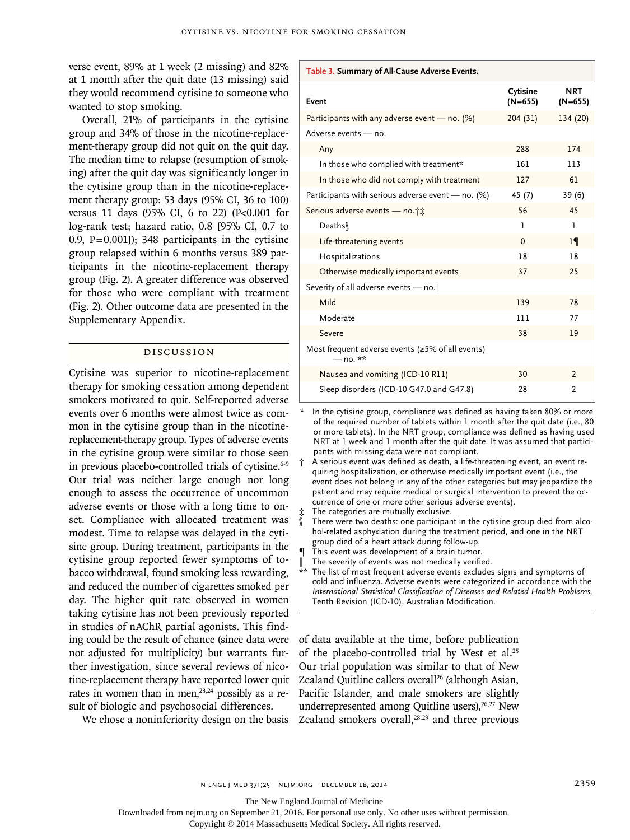verse event, 89% at 1 week (2 missing) and 82% at 1 month after the quit date (13 missing) said they would recommend cytisine to someone who wanted to stop smoking.

Overall, 21% of participants in the cytisine group and 34% of those in the nicotine-replacement-therapy group did not quit on the quit day. The median time to relapse (resumption of smoking) after the quit day was significantly longer in the cytisine group than in the nicotine-replacement therapy group: 53 days (95% CI, 36 to 100) versus 11 days (95% CI, 6 to 22) (P<0.001 for log-rank test; hazard ratio, 0.8 [95% CI, 0.7 to 0.9,  $P=0.001$ ]); 348 participants in the cytisine group relapsed within 6 months versus 389 participants in the nicotine-replacement therapy group (Fig. 2). A greater difference was observed for those who were compliant with treatment (Fig. 2). Other outcome data are presented in the Supplementary Appendix.

# Discussion

Cytisine was superior to nicotine-replacement therapy for smoking cessation among dependent smokers motivated to quit. Self-reported adverse events over 6 months were almost twice as common in the cytisine group than in the nicotinereplacement-therapy group. Types of adverse events in the cytisine group were similar to those seen in previous placebo-controlled trials of cytisine.<sup>6-9</sup> Our trial was neither large enough nor long enough to assess the occurrence of uncommon adverse events or those with a long time to onset. Compliance with allocated treatment was modest. Time to relapse was delayed in the cytisine group. During treatment, participants in the cytisine group reported fewer symptoms of tobacco withdrawal, found smoking less rewarding, and reduced the number of cigarettes smoked per day. The higher quit rate observed in women taking cytisine has not been previously reported in studies of nAChR partial agonists. This finding could be the result of chance (since data were not adjusted for multiplicity) but warrants further investigation, since several reviews of nicotine-replacement therapy have reported lower quit rates in women than in men, $23,24$  possibly as a result of biologic and psychosocial differences.

We chose a noninferiority design on the basis

**Table 3. Summary of All-Cause Adverse Events.**

| Event                                                            | Cytisine<br>$(N=655)$ | NRT<br>$(N=655)$ |
|------------------------------------------------------------------|-----------------------|------------------|
| Participants with any adverse event — no. $(\%)$                 | 204(31)               | 134 (20)         |
| Adverse events - no.                                             |                       |                  |
| Any                                                              | 288                   | 174              |
| In those who complied with treatment*                            | 161                   | 113              |
| In those who did not comply with treatment                       | 127                   | 61               |
| Participants with serious adverse event - no. $(\%)$             | 45 (7)                | 39 (6)           |
| Serious adverse events - no.                                     | 56                    | 45               |
| Deaths                                                           | 1                     | 1                |
| Life-threatening events                                          | $\Omega$              | $1\P$            |
| Hospitalizations                                                 | 18                    | 18               |
| Otherwise medically important events                             | 37                    | 25               |
| Severity of all adverse events - no.                             |                       |                  |
| Mild                                                             | 139                   | 78               |
| Moderate                                                         | 111                   | 77               |
| Severe                                                           | 38                    | 19               |
| Most frequent adverse events (≥5% of all events)<br>$-$ no. $**$ |                       |                  |
| Nausea and vomiting (ICD-10 R11)                                 | 30                    | $\overline{2}$   |
| Sleep disorders (ICD-10 G47.0 and G47.8)                         | 28                    | 2                |

In the cytisine group, compliance was defined as having taken 80% or more of the required number of tablets within 1 month after the quit date (i.e., 80 or more tablets). In the NRT group, compliance was defined as having used NRT at 1 week and 1 month after the quit date. It was assumed that participants with missing data were not compliant.

† A serious event was defined as death, a life-threatening event, an event requiring hospitalization, or otherwise medically important event (i.e., the event does not belong in any of the other categories but may jeopardize the patient and may require medical or surgical intervention to prevent the occurrence of one or more other serious adverse events).

The categories are mutually exclusive.

There were two deaths: one participant in the cytisine group died from alcohol-related asphyxiation during the treatment period, and one in the NRT group died of a heart attack during follow-up.

- This event was development of a brain tumor.
- The severity of events was not medically verified.

\*\* The list of most frequent adverse events excludes signs and symptoms of cold and influenza. Adverse events were categorized in accordance with the *International Statistical Classification of Diseases and Related Health Problems,* Tenth Revision (ICD-10), Australian Modification.

of data available at the time, before publication of the placebo-controlled trial by West et al.<sup>25</sup> Our trial population was similar to that of New Zealand Quitline callers overall<sup>26</sup> (although Asian, Pacific Islander, and male smokers are slightly underrepresented among Quitline users), $26,27$  New Zealand smokers overall, $28,29$  and three previous

The New England Journal of Medicine

Downloaded from nejm.org on September 21, 2016. For personal use only. No other uses without permission.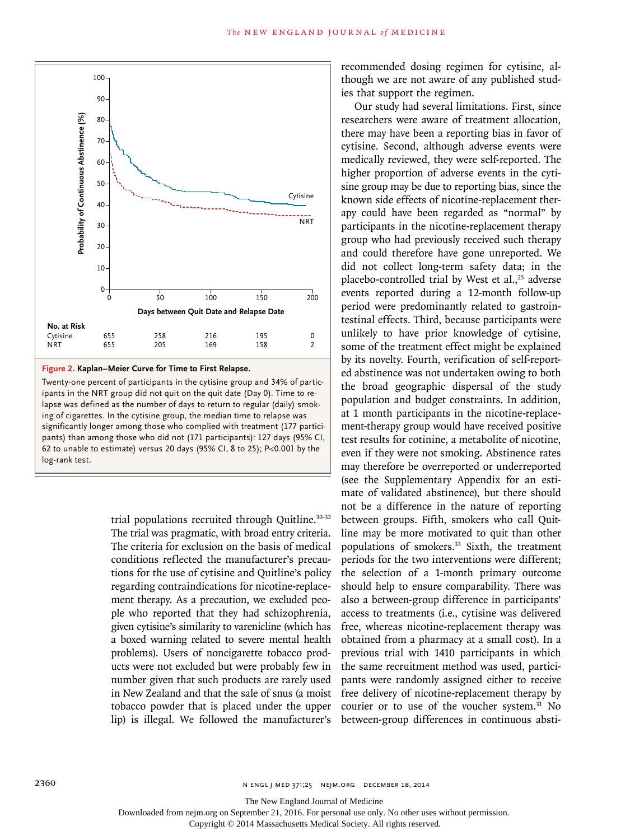

**Figure 2. Kaplan–Meier Curve for Time to First Relapse.**

Twenty-one percent of participants in the cytisine group and 34% of participants in the NRT group did not quit on the quit date (Day 0). Time to relapse was defined as the number of days to return to regular (daily) smoking of cigarettes. In the cytisine group, the median time to relapse was significantly longer among those who complied with treatment (177 participants) than among those who did not (171 participants): 127 days (95% CI, 62 to unable to estimate) versus 20 days (95% CI, 8 to 25); P<0.001 by the log-rank test.

> trial populations recruited through Quitline.30-32 The trial was pragmatic, with broad entry criteria. The criteria for exclusion on the basis of medical conditions reflected the manufacturer's precautions for the use of cytisine and Quitline's policy regarding contraindications for nicotine-replacement therapy. As a precaution, we excluded people who reported that they had schizophrenia, given cytisine's similarity to varenicline (which has a boxed warning related to severe mental health problems). Users of noncigarette tobacco products were not excluded but were probably few in number given that such products are rarely used in New Zealand and that the sale of snus (a moist tobacco powder that is placed under the upper lip) is illegal. We followed the manufacturer's

recommended dosing regimen for cytisine, although we are not aware of any published studies that support the regimen.

Our study had several limitations. First, since researchers were aware of treatment allocation, there may have been a reporting bias in favor of cytisine. Second, although adverse events were medically reviewed, they were self-reported. The higher proportion of adverse events in the cytisine group may be due to reporting bias, since the known side effects of nicotine-replacement therapy could have been regarded as "normal" by participants in the nicotine-replacement therapy group who had previously received such therapy and could therefore have gone unreported. We did not collect long-term safety data; in the placebo-controlled trial by West et al., $25$  adverse events reported during a 12-month follow-up period were predominantly related to gastrointestinal effects. Third, because participants were unlikely to have prior knowledge of cytisine, some of the treatment effect might be explained by its novelty. Fourth, verification of self-reported abstinence was not undertaken owing to both the broad geographic dispersal of the study population and budget constraints. In addition, at 1 month participants in the nicotine-replacement-therapy group would have received positive test results for cotinine, a metabolite of nicotine, even if they were not smoking. Abstinence rates may therefore be overreported or underreported (see the Supplementary Appendix for an estimate of validated abstinence), but there should not be a difference in the nature of reporting between groups. Fifth, smokers who call Quitline may be more motivated to quit than other populations of smokers.33 Sixth, the treatment periods for the two interventions were different; the selection of a 1-month primary outcome should help to ensure comparability. There was also a between-group difference in participants' access to treatments (i.e., cytisine was delivered free, whereas nicotine-replacement therapy was obtained from a pharmacy at a small cost). In a previous trial with 1410 participants in which the same recruitment method was used, participants were randomly assigned either to receive free delivery of nicotine-replacement therapy by courier or to use of the voucher system.<sup>31</sup> No between-group differences in continuous absti-

The New England Journal of Medicine

Downloaded from nejm.org on September 21, 2016. For personal use only. No other uses without permission.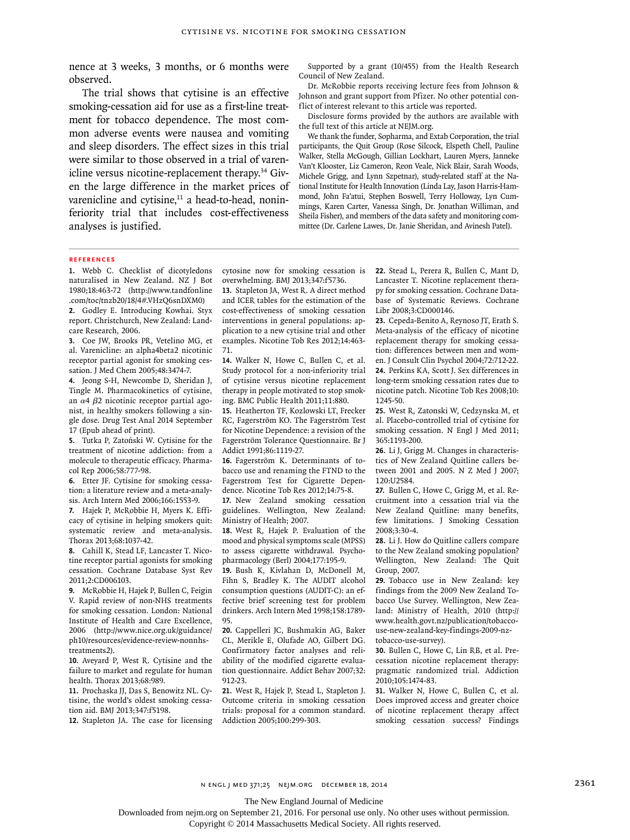nence at 3 weeks, 3 months, or 6 months were observed.

The trial shows that cytisine is an effective smoking-cessation aid for use as a first-line treatment for tobacco dependence. The most common adverse events were nausea and vomiting and sleep disorders. The effect sizes in this trial were similar to those observed in a trial of varenicline versus nicotine-replacement therapy.34 Given the large difference in the market prices of varenicline and cytisine, $11$  a head-to-head, noninferiority trial that includes cost-effectiveness analyses is justified.

Supported by a grant (10/455) from the Health Research Council of New Zealand.

Dr. McRobbie reports receiving lecture fees from Johnson & Johnson and grant support from Pfizer. No other potential conflict of interest relevant to this article was reported.

Disclosure forms provided by the authors are available with the full text of this article at NEJM.org.

We thank the funder, Sopharma, and Extab Corporation, the trial participants, the Quit Group (Rose Silcock, Elspeth Chell, Pauline Walker, Stella McGough, Gillian Lockhart, Lauren Myers, Janneke Van't Klooster, Liz Cameron, Reon Veale, Nick Blair, Sarah Woods, Michele Grigg, and Lynn Szpetnar), study-related staff at the National Institute for Health Innovation (Linda Lay, Jason Harris-Hammond, John Fa'atui, Stephen Boswell, Terry Holloway, Lyn Cummings, Karen Carter, Vanessa Singh, Dr. Jonathan Williman, and Sheila Fisher), and members of the data safety and monitoring committee (Dr. Carlene Lawes, Dr. Janie Sheridan, and Avinesh Patel).

#### **References**

**1.** Webb C. Checklist of dicotyledons naturalised in New Zealand. NZ J Bot 1980;18:463-72 (http://www.tandfonline .com/toc/tnzb20/18/4#.VHzQ6snDXM0)

**2.** Godley E. Introducing Kowhai. Styx report. Christchurch, New Zealand: Landcare Research, 2006.

**3.** Coe JW, Brooks PR, Vetelino MG, et al. Varenicline: an alpha4beta2 nicotinic receptor partial agonist for smoking cessation. J Med Chem 2005;48:3474-7.

**4.** Jeong S-H, Newcombe D, Sheridan J, Tingle M. Pharmacokinetics of cytisine, an α4 β2 nicotinic receptor partial agonist, in healthy smokers following a single dose. Drug Test Anal 2014 September 17 (Epub ahead of print).

**5.** Tutka P, Zatoński W. Cytisine for the treatment of nicotine addiction: from a molecule to therapeutic efficacy. Pharmacol Rep 2006;58:777-98.

**6.** Etter JF. Cytisine for smoking cessation: a literature review and a meta-analysis. Arch Intern Med 2006;166:1553-9.

**7.** Hajek P, McRobbie H, Myers K. Efficacy of cytisine in helping smokers quit: systematic review and meta-analysis. Thorax 2013;68:1037-42.

**8.** Cahill K, Stead LF, Lancaster T. Nicotine receptor partial agonists for smoking cessation. Cochrane Database Syst Rev 2011;2:CD006103.

**9.** McRobbie H, Hajek P, Bullen C, Feigin V. Rapid review of non-NHS treatments for smoking cessation. London: National Institute of Health and Care Excellence, 2006 (http://www.nice.org.uk/guidance/ ph10/resources/evidence-review-nonnhstreatments2).

**10.** Aveyard P, West R. Cytisine and the failure to market and regulate for human health. Thorax 2013;68:989.

**11.** Prochaska JJ, Das S, Benowitz NL. Cytisine, the world's oldest smoking cessation aid. BMJ 2013;347:f5198.

**12.** Stapleton JA. The case for licensing

cytosine now for smoking cessation is overwhelming. BMJ 2013;347:f5736.

**13.** Stapleton JA, West R. A direct method and ICER tables for the estimation of the cost-effectiveness of smoking cessation interventions in general populations: application to a new cytisine trial and other examples. Nicotine Tob Res 2012;14:463- 71.

**14.** Walker N, Howe C, Bullen C, et al. Study protocol for a non-inferiority trial of cytisine versus nicotine replacement therapy in people motivated to stop smoking. BMC Public Health 2011;11:880.

**15.** Heatherton TF, Kozlowski LT, Frecker RC, Fagerström KO. The Fagerström Test for Nicotine Dependence: a revision of the Fagerström Tolerance Questionnaire. Br J Addict 1991;86:1119-27.

**16.** Fagerström K. Determinants of tobacco use and renaming the FTND to the Fagerstrom Test for Cigarette Dependence. Nicotine Tob Res 2012;14:75-8.

**17.** New Zealand smoking cessation guidelines. Wellington, New Zealand: Ministry of Health; 2007.

**18.** West R, Hajek P. Evaluation of the mood and physical symptoms scale (MPSS) to assess cigarette withdrawal. Psychopharmacology (Berl) 2004;177:195-9.

**19.** Bush K, Kivlahan D, McDonell M, Fihn S, Bradley K. The AUDIT alcohol consumption questions (AUDIT-C): an effective brief screening test for problem drinkers. Arch Intern Med 1998;158:1789- 95.

**20.** Cappelleri JC, Bushmakin AG, Baker CL, Merikle E, Olufade AO, Gilbert DG. Confirmatory factor analyses and reliability of the modified cigarette evaluation questionnaire. Addict Behav 2007;32: 912-23.

**21.** West R, Hajek P, Stead L, Stapleton J. Outcome criteria in smoking cessation trials: proposal for a common standard. Addiction 2005;100:299-303.

**22.** Stead L, Perera R, Bullen C, Mant D, Lancaster T. Nicotine replacement therapy for smoking cessation. Cochrane Database of Systematic Reviews. Cochrane Libr 2008;3:CD000146.

**23.** Cepeda-Benito A, Reynoso JT, Erath S. Meta-analysis of the efficacy of nicotine replacement therapy for smoking cessation: differences between men and women. J Consult Clin Psychol 2004;72:712-22. **24.** Perkins KA, Scott J. Sex differences in long-term smoking cessation rates due to nicotine patch. Nicotine Tob Res 2008;10: 1245-50.

**25.** West R, Zatonski W, Cedzynska M, et al. Placebo-controlled trial of cytisine for smoking cessation. N Engl J Med 2011; 365:1193-200.

**26.** Li J, Grigg M. Changes in characteristics of New Zealand Quitline callers between 2001 and 2005. N Z Med J 2007; 120:U2584.

**27.** Bullen C, Howe C, Grigg M, et al. Recruitment into a cessation trial via the New Zealand Quitline: many benefits, few limitations. J Smoking Cessation 2008;3:30-4.

**28.** Li J. How do Quitline callers compare to the New Zealand smoking population? Wellington, New Zealand: The Quit Group, 2007.

**29.** Tobacco use in New Zealand: key findings from the 2009 New Zealand Tobacco Use Survey. Wellington, New Zealand: Ministry of Health, 2010 (http:// www.health.govt.nz/publication/tobaccouse-new-zealand-key-findings-2009-nztobacco-use-survey).

**30.** Bullen C, Howe C, Lin RB, et al. Precessation nicotine replacement therapy: pragmatic randomized trial. Addiction 2010;105:1474-83.

**31.** Walker N, Howe C, Bullen C, et al. Does improved access and greater choice of nicotine replacement therapy affect smoking cessation success? Findings

The New England Journal of Medicine

Downloaded from nejm.org on September 21, 2016. For personal use only. No other uses without permission.